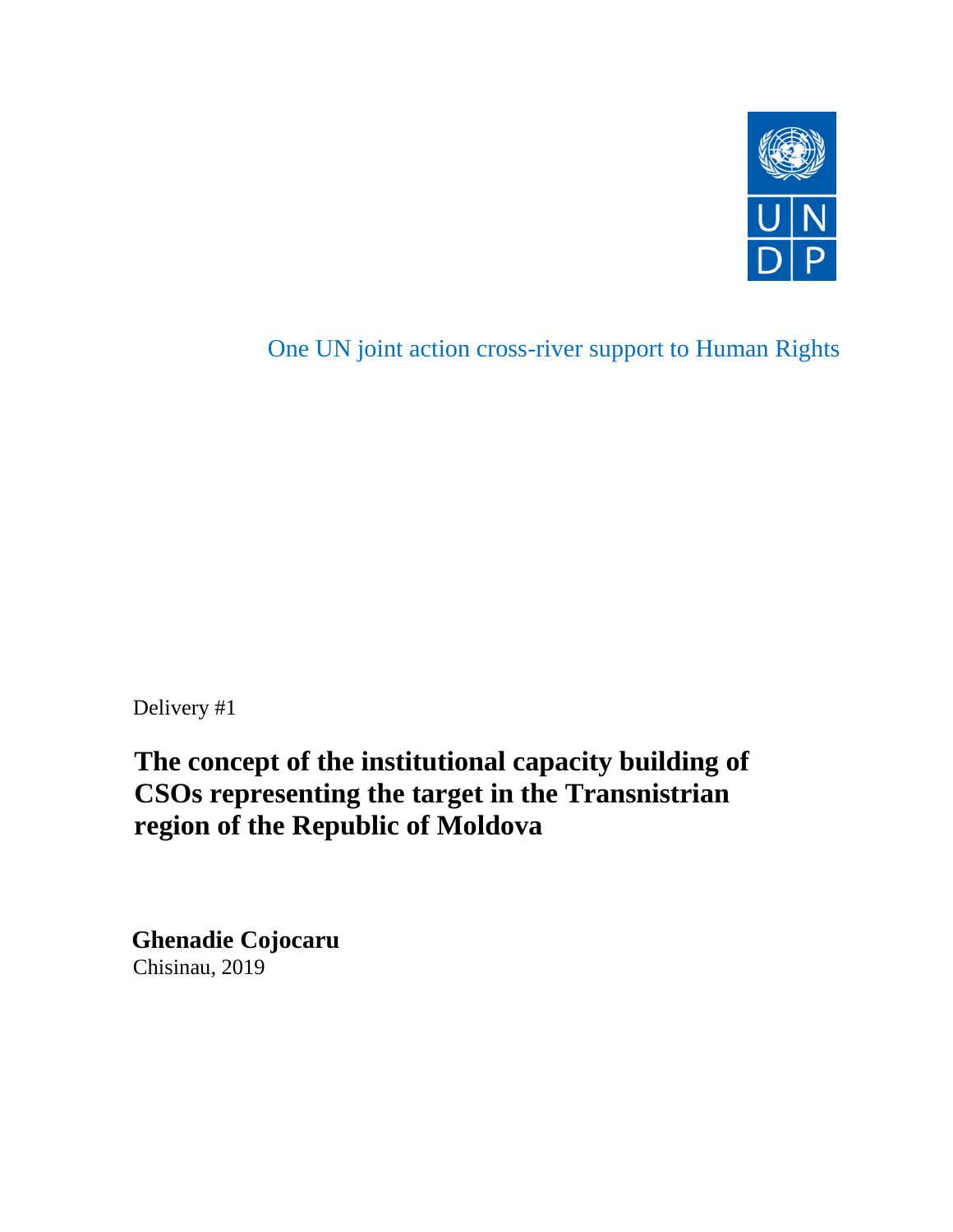

One UN joint action cross-river support to Human Rights

Delivery #1

 **The concept of the institutional capacity building of CSOs representing the target in the Transnistrian region of the Republic of Moldova** 

 **Ghenadie Cojocaru** Chisinau, 2019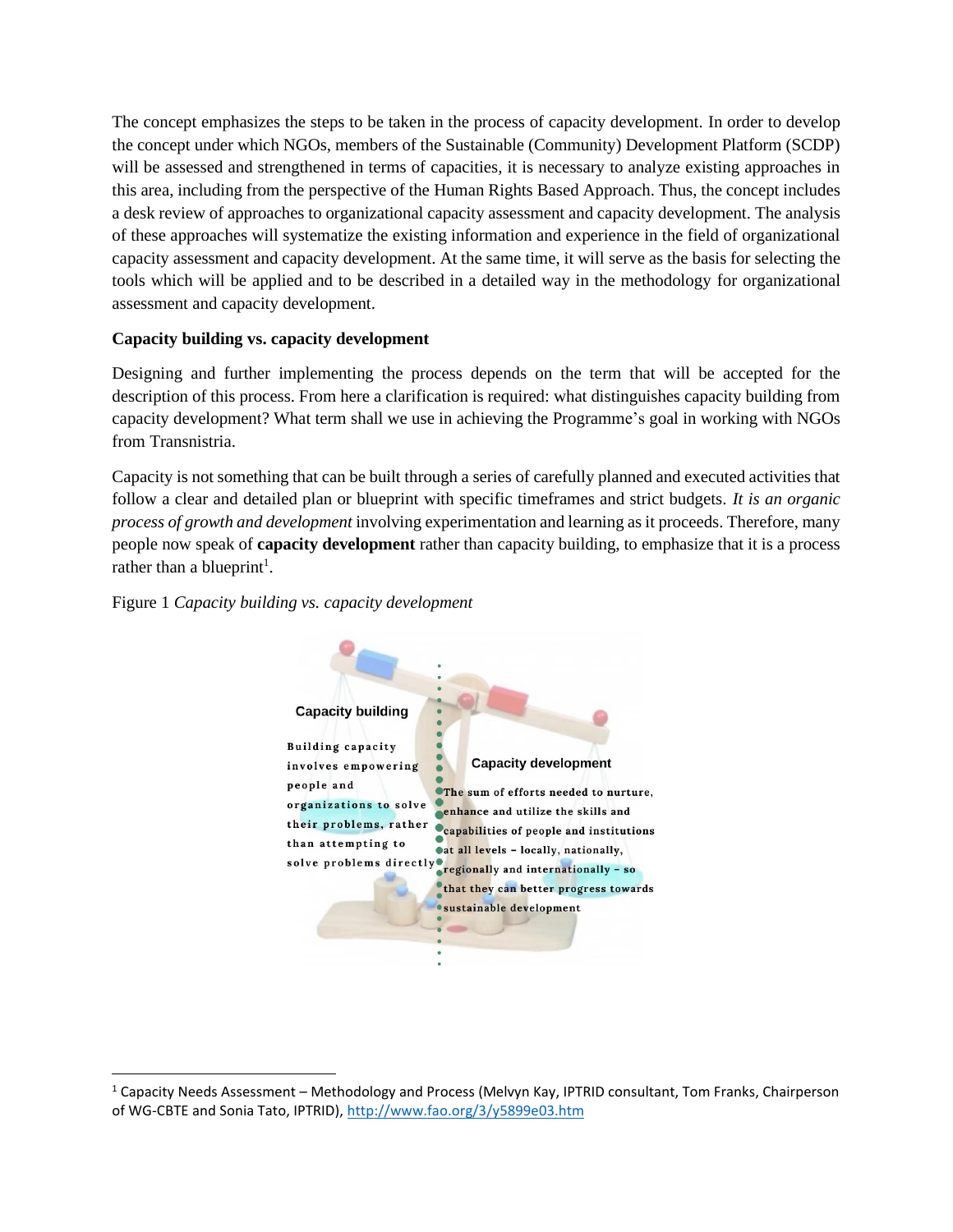The concept emphasizes the steps to be taken in the process of capacity development. In order to develop the concept under which NGOs, members of the Sustainable (Community) Development Platform (SCDP) will be assessed and strengthened in terms of capacities, it is necessary to analyze existing approaches in this area, including from the perspective of the Human Rights Based Approach. Thus, the concept includes a desk review of approaches to organizational capacity assessment and capacity development. The analysis of these approaches will systematize the existing information and experience in the field of organizational capacity assessment and capacity development. At the same time, it will serve as the basis for selecting the tools which will be applied and to be described in a detailed way in the methodology for organizational assessment and capacity development.

## **Capacity building vs. capacity development**

Designing and further implementing the process depends on the term that will be accepted for the description of this process. From here a clarification is required: what distinguishes capacity building from capacity development? What term shall we use in achieving the Programme's goal in working with NGOs from Transnistria.

Capacity is not something that can be built through a series of carefully planned and executed activities that follow a clear and detailed plan or blueprint with specific timeframes and strict budgets. *It is an organic process of growth and development* involving experimentation and learning as it proceeds. Therefore, many people now speak of **capacity development** rather than capacity building, to emphasize that it is a process rather than a blueprint<sup>1</sup>.





 $1$  Capacity Needs Assessment – Methodology and Process (Melvyn Kay, IPTRID consultant, Tom Franks, Chairperson of WG-CBTE and Sonia Tato, IPTRID),<http://www.fao.org/3/y5899e03.htm>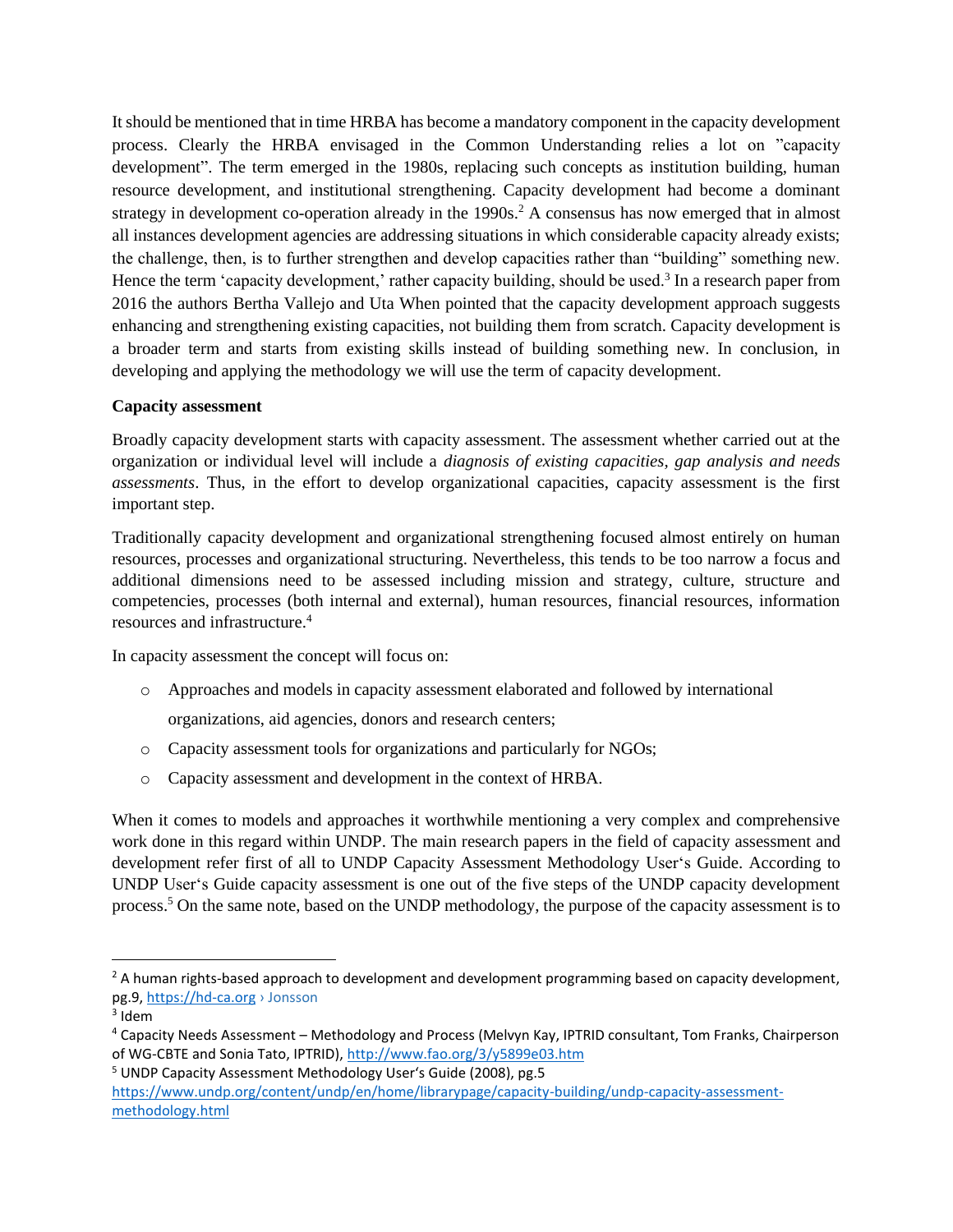It should be mentioned that in time HRBA has become a mandatory component in the capacity development process. Clearly the HRBA envisaged in the Common Understanding relies a lot on "capacity development". The term emerged in the 1980s, replacing such concepts as institution building, human resource development, and institutional strengthening. Capacity development had become a dominant strategy in development co-operation already in the 1990s.<sup>2</sup> A consensus has now emerged that in almost all instances development agencies are addressing situations in which considerable capacity already exists; the challenge, then, is to further strengthen and develop capacities rather than "building" something new. Hence the term 'capacity development,' rather capacity building, should be used.<sup>3</sup> In a research paper from 2016 the authors Bertha Vallejo and Uta When pointed that the capacity development approach suggests enhancing and strengthening existing capacities, not building them from scratch. Capacity development is a broader term and starts from existing skills instead of building something new. In conclusion, in developing and applying the methodology we will use the term of capacity development.

### **Capacity assessment**

Broadly capacity development starts with capacity assessment. The assessment whether carried out at the organization or individual level will include a *diagnosis of existing capacities, gap analysis and needs assessments*. Thus, in the effort to develop organizational capacities, capacity assessment is the first important step.

Traditionally capacity development and organizational strengthening focused almost entirely on human resources, processes and organizational structuring. Nevertheless, this tends to be too narrow a focus and additional dimensions need to be assessed including mission and strategy, culture, structure and competencies, processes (both internal and external), human resources, financial resources, information resources and infrastructure.<sup>4</sup>

In capacity assessment the concept will focus on:

o Approaches and models in capacity assessment elaborated and followed by international

organizations, aid agencies, donors and research centers;

- o Capacity assessment tools for organizations and particularly for NGOs;
- o Capacity assessment and development in the context of HRBA.

When it comes to models and approaches it worthwhile mentioning a very complex and comprehensive work done in this regard within UNDP. The main research papers in the field of capacity assessment and development refer first of all to UNDP Capacity Assessment Methodology User's Guide. According to UNDP User's Guide capacity assessment is one out of the five steps of the UNDP capacity development process.<sup>5</sup> On the same note, based on the UNDP methodology, the purpose of the capacity assessment is to

 $2A$  human rights-based approach to development and development programming based on capacity development, pg.9[, https://hd-ca.org](https://hd-ca.org/) › Jonsson

 $3$  Idem

<sup>4</sup> Capacity Needs Assessment – Methodology and Process (Melvyn Kay, IPTRID consultant, Tom Franks, Chairperson of WG-CBTE and Sonia Tato, IPTRID),<http://www.fao.org/3/y5899e03.htm>

<sup>5</sup> UNDP Capacity Assessment Methodology User's Guide (2008), pg.5 [https://www.undp.org/content/undp/en/home/librarypage/capacity-building/undp-capacity-assessment](https://www.undp.org/content/undp/en/home/librarypage/capacity-building/undp-capacity-assessment-methodology.html)[methodology.html](https://www.undp.org/content/undp/en/home/librarypage/capacity-building/undp-capacity-assessment-methodology.html)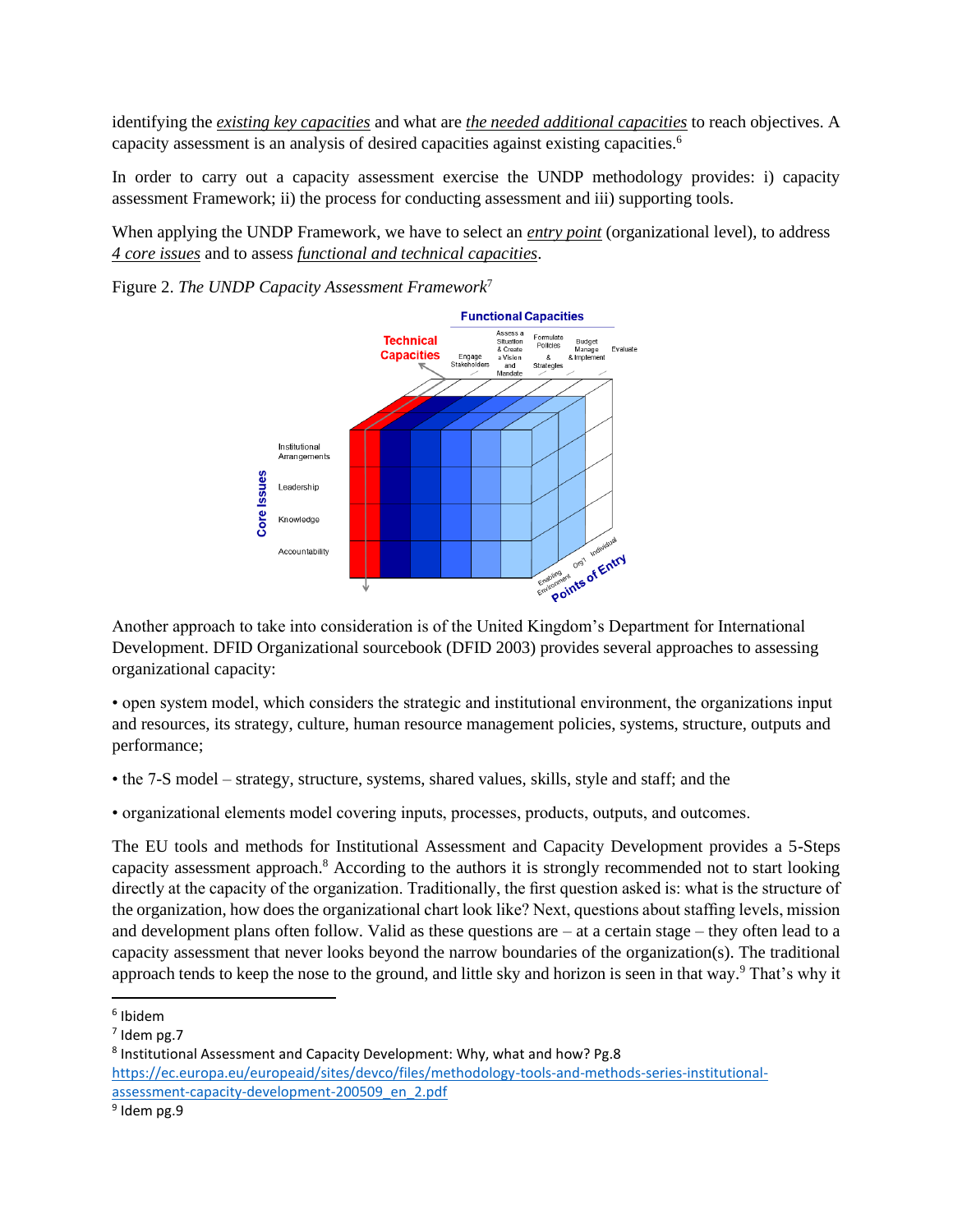identifying the *existing key capacities* and what are *the needed additional capacities* to reach objectives. A capacity assessment is an analysis of desired capacities against existing capacities.<sup>6</sup>

In order to carry out a capacity assessment exercise the UNDP methodology provides: i) capacity assessment Framework; ii) the process for conducting assessment and iii) supporting tools.

When applying the UNDP Framework, we have to select an *entry point* (organizational level), to address *4 core issues* and to assess *functional and technical capacities*.

Figure 2. *The UNDP Capacity Assessment Framework*<sup>7</sup>



Another approach to take into consideration is of the United Kingdom's Department for International Development. DFID Organizational sourcebook (DFID 2003) provides several approaches to assessing organizational capacity:

• open system model, which considers the strategic and institutional environment, the organizations input and resources, its strategy, culture, human resource management policies, systems, structure, outputs and performance;

• the 7-S model – strategy, structure, systems, shared values, skills, style and staff; and the

• organizational elements model covering inputs, processes, products, outputs, and outcomes.

The EU tools and methods for Institutional Assessment and Capacity Development provides a 5-Steps capacity assessment approach.<sup>8</sup> According to the authors it is strongly recommended not to start looking directly at the capacity of the organization. Traditionally, the first question asked is: what is the structure of the organization, how does the organizational chart look like? Next, questions about staffing levels, mission and development plans often follow. Valid as these questions are – at a certain stage – they often lead to a capacity assessment that never looks beyond the narrow boundaries of the organization(s). The traditional approach tends to keep the nose to the ground, and little sky and horizon is seen in that way.<sup>9</sup> That's why it

<sup>6</sup> Ibidem

<sup>7</sup> Idem pg.7

<sup>8</sup> Institutional Assessment and Capacity Development: Why, what and how? Pg.8 [https://ec.europa.eu/europeaid/sites/devco/files/methodology-tools-and-methods-series-institutional](https://ec.europa.eu/europeaid/sites/devco/files/methodology-tools-and-methods-series-institutional-assessment-capacity-development-200509_en_2.pdf)[assessment-capacity-development-200509\\_en\\_2.pdf](https://ec.europa.eu/europeaid/sites/devco/files/methodology-tools-and-methods-series-institutional-assessment-capacity-development-200509_en_2.pdf)

<sup>&</sup>lt;sup>9</sup> Idem pg.9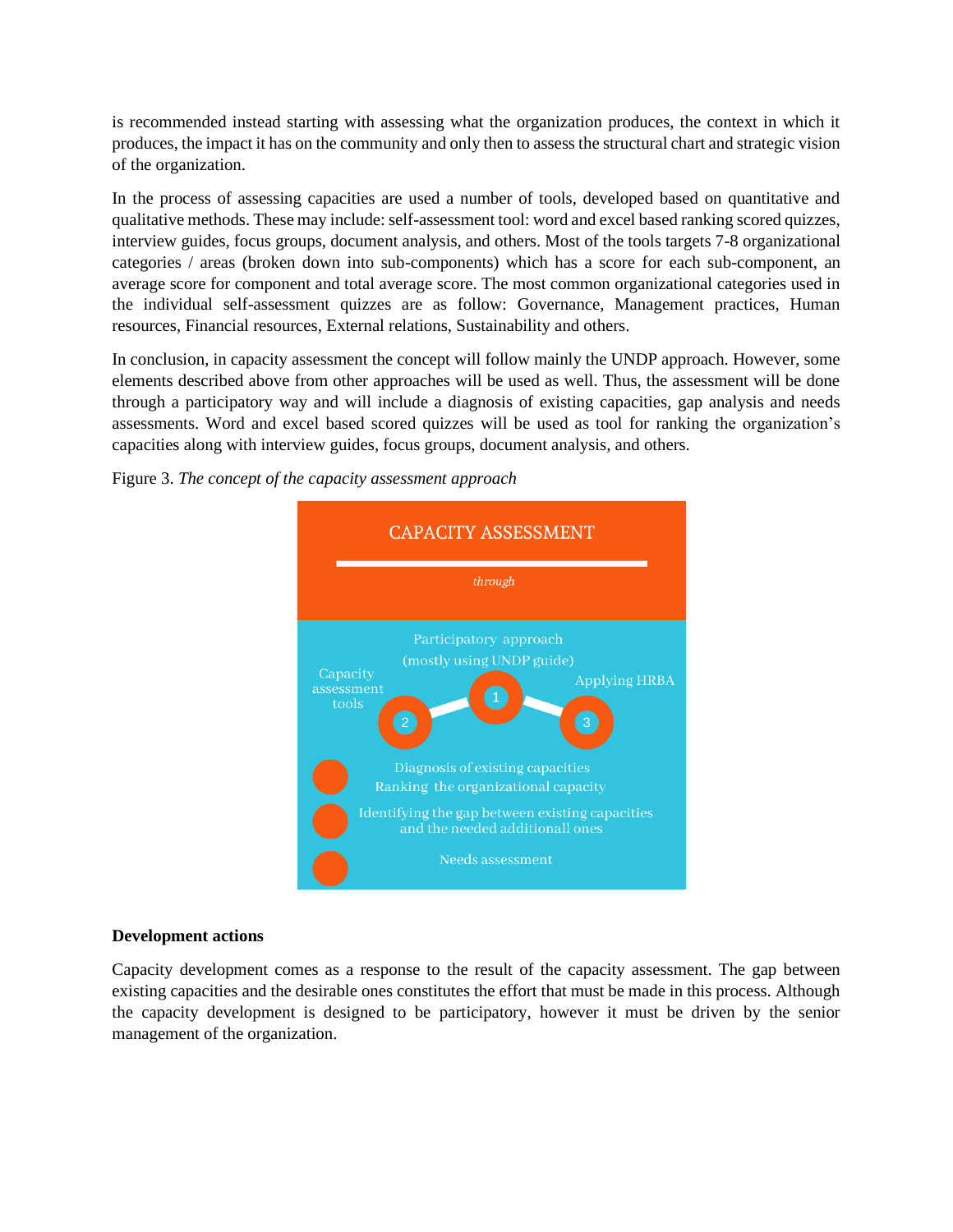is recommended instead starting with assessing what the organization produces, the context in which it produces, the impact it has on the community and only then to assess the structural chart and strategic vision of the organization.

In the process of assessing capacities are used a number of tools, developed based on quantitative and qualitative methods. These may include: self-assessment tool: word and excel based ranking scored quizzes, interview guides, focus groups, document analysis, and others. Most of the tools targets 7-8 organizational categories / areas (broken down into sub-components) which has a score for each sub-component, an average score for component and total average score. The most common organizational categories used in the individual self-assessment quizzes are as follow: Governance, Management practices, Human resources, Financial resources, External relations, Sustainability and others.

In conclusion, in capacity assessment the concept will follow mainly the UNDP approach. However, some elements described above from other approaches will be used as well. Thus, the assessment will be done through a participatory way and will include a diagnosis of existing capacities, gap analysis and needs assessments. Word and excel based scored quizzes will be used as tool for ranking the organization's capacities along with interview guides, focus groups, document analysis, and others.





#### **Development actions**

Capacity development comes as a response to the result of the capacity assessment. The gap between existing capacities and the desirable ones constitutes the effort that must be made in this process. Although the capacity development is designed to be participatory, however it must be driven by the senior management of the organization.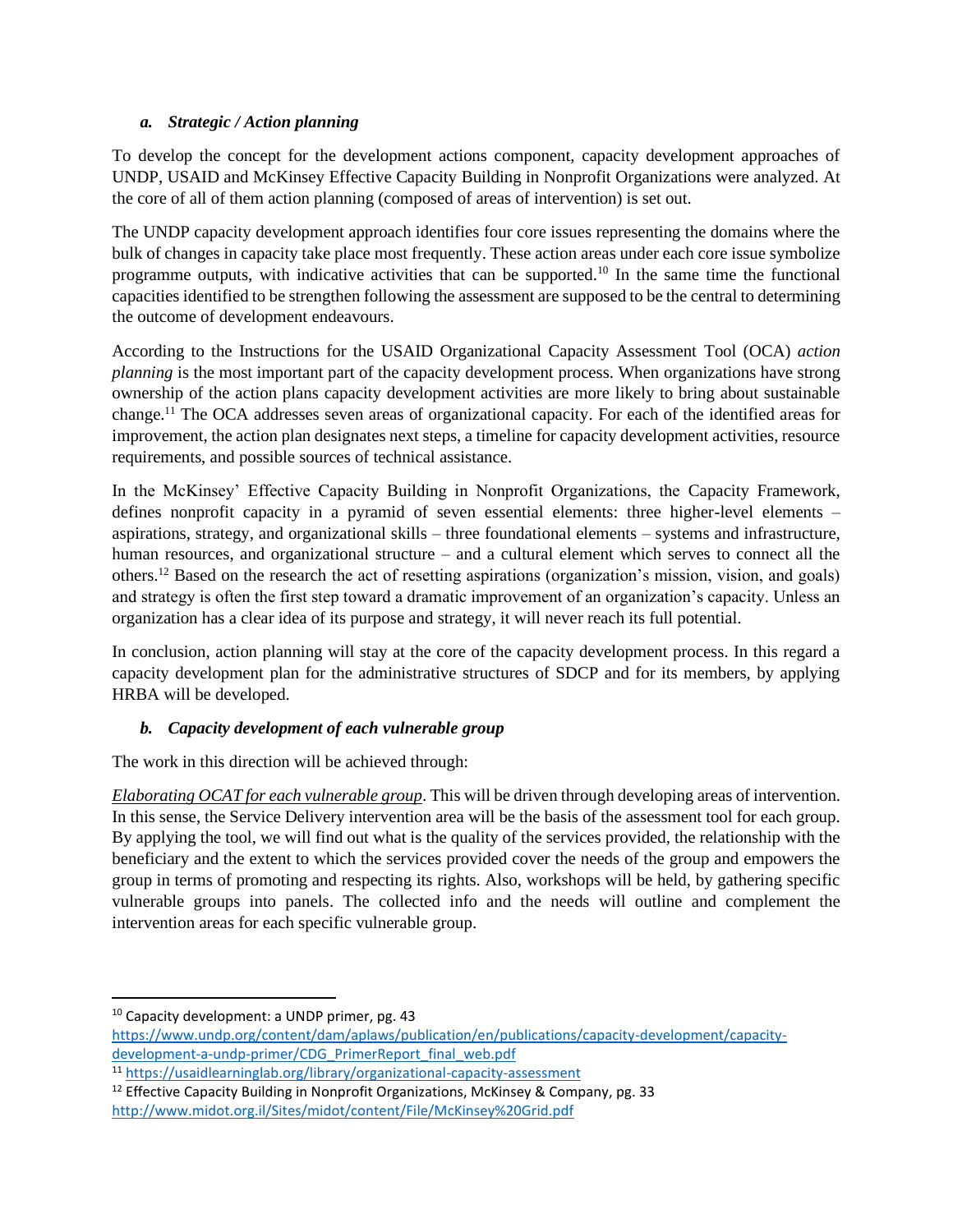## *a. Strategic / Action planning*

To develop the concept for the development actions component, capacity development approaches of UNDP, USAID and McKinsey Effective Capacity Building in Nonprofit Organizations were analyzed. At the core of all of them action planning (composed of areas of intervention) is set out.

The UNDP capacity development approach identifies four core issues representing the domains where the bulk of changes in capacity take place most frequently. These action areas under each core issue symbolize programme outputs, with indicative activities that can be supported.<sup>10</sup> In the same time the functional capacities identified to be strengthen following the assessment are supposed to be the central to determining the outcome of development endeavours.

According to the Instructions for the USAID Organizational Capacity Assessment Tool (OCA) *action planning* is the most important part of the capacity development process. When organizations have strong ownership of the action plans capacity development activities are more likely to bring about sustainable change.<sup>11</sup> The OCA addresses seven areas of organizational capacity. For each of the identified areas for improvement, the action plan designates next steps, a timeline for capacity development activities, resource requirements, and possible sources of technical assistance.

In the McKinsey' Effective Capacity Building in Nonprofit Organizations, the Capacity Framework, defines nonprofit capacity in a pyramid of seven essential elements: three higher-level elements – aspirations, strategy, and organizational skills – three foundational elements – systems and infrastructure, human resources, and organizational structure – and a cultural element which serves to connect all the others.<sup>12</sup> Based on the research the act of resetting aspirations (organization's mission, vision, and goals) and strategy is often the first step toward a dramatic improvement of an organization's capacity. Unless an organization has a clear idea of its purpose and strategy, it will never reach its full potential.

In conclusion, action planning will stay at the core of the capacity development process. In this regard a capacity development plan for the administrative structures of SDCP and for its members, by applying HRBA will be developed.

# *b. Capacity development of each vulnerable group*

The work in this direction will be achieved through:

*Elaborating OCAT for each vulnerable group*. This will be driven through developing areas of intervention. In this sense, the Service Delivery intervention area will be the basis of the assessment tool for each group. By applying the tool, we will find out what is the quality of the services provided, the relationship with the beneficiary and the extent to which the services provided cover the needs of the group and empowers the group in terms of promoting and respecting its rights. Also, workshops will be held, by gathering specific vulnerable groups into panels. The collected info and the needs will outline and complement the intervention areas for each specific vulnerable group.

<sup>&</sup>lt;sup>10</sup> Capacity development: a UNDP primer, pg. 43

[https://www.undp.org/content/dam/aplaws/publication/en/publications/capacity-development/capacity](https://www.undp.org/content/dam/aplaws/publication/en/publications/capacity-development/capacity-development-a-undp-primer/CDG_PrimerReport_final_web.pdf)[development-a-undp-primer/CDG\\_PrimerReport\\_final\\_web.pdf](https://www.undp.org/content/dam/aplaws/publication/en/publications/capacity-development/capacity-development-a-undp-primer/CDG_PrimerReport_final_web.pdf)

<sup>11</sup> <https://usaidlearninglab.org/library/organizational-capacity-assessment>

 $12$  Effective Capacity Building in Nonprofit Organizations, McKinsey & Company, pg. 33 <http://www.midot.org.il/Sites/midot/content/File/McKinsey%20Grid.pdf>